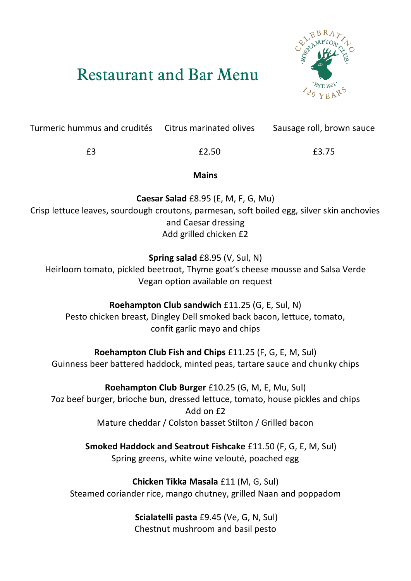# Restaurant and Bar Menu



Turmeric hummus and crudités Citrus marinated olives Sausage roll, brown sauce

£3 £2.50 £3.75

**Mains**

**Caesar Salad** £8.95 (E, M, F, G, Mu) Crisp lettuce leaves, sourdough croutons, parmesan, soft boiled egg, silver skin anchovies and Caesar dressing Add grilled chicken £2

**Spring salad** £8.95 (V, Sul, N)

Heirloom tomato, pickled beetroot, Thyme goat's cheese mousse and Salsa Verde Vegan option available on request

**Roehampton Club sandwich** £11.25 (G, E, Sul, N) Pesto chicken breast, Dingley Dell smoked back bacon, lettuce, tomato, confit garlic mayo and chips

**Roehampton Club Fish and Chips** £11.25 (F, G, E, M, Sul) Guinness beer battered haddock, minted peas, tartare sauce and chunky chips

**Roehampton Club Burger** £10.25 (G, M, E, Mu, Sul) 7oz beef burger, brioche bun, dressed lettuce, tomato, house pickles and chips Add on £2 Mature cheddar / Colston basset Stilton / Grilled bacon

> **Smoked Haddock and Seatrout Fishcake** £11.50 (F, G, E, M, Sul) Spring greens, white wine velouté, poached egg

**Chicken Tikka Masala** £11 (M, G, Sul) Steamed coriander rice, mango chutney, grilled Naan and poppadom

> **Scialatelli pasta** £9.45 (Ve, G, N, Sul) Chestnut mushroom and basil pesto